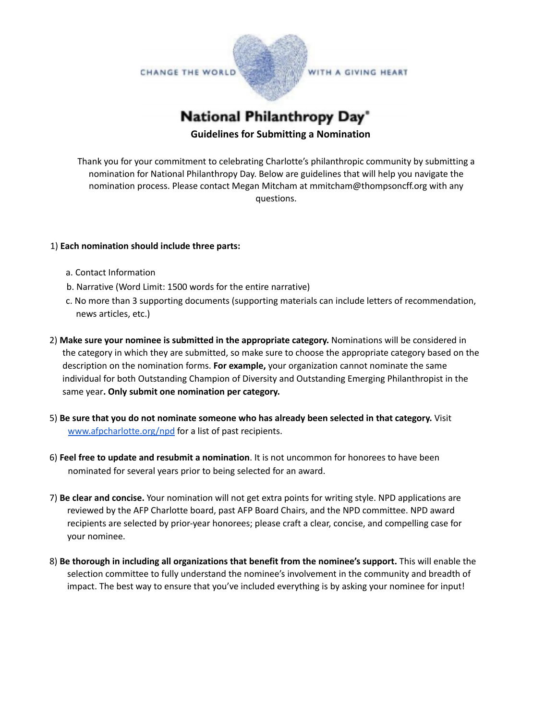

**National Philanthropy Day®** 

## **Guidelines for Submitting a Nomination**

Thank you for your commitment to celebrating Charlotte's philanthropic community by submitting a nomination for National Philanthropy Day. Below are guidelines that will help you navigate the nomination process. Please contact Megan Mitcham at mmitcham@thompsoncff.org with any questions.

## 1) **Each nomination should include three parts:**

- a. Contact Information
- b. Narrative (Word Limit: 1500 words for the entire narrative)
- c. No more than 3 supporting documents (supporting materials can include letters of recommendation, news articles, etc.)
- 2) **Make sure your nominee is submitted in the appropriate category.** Nominations will be considered in the category in which they are submitted, so make sure to choose the appropriate category based on the description on the nomination forms. **For example,** your organization cannot nominate the same individual for both Outstanding Champion of Diversity and Outstanding Emerging Philanthropist in the same year**. Only submit one nomination per category.**
- 5) **Be sure that you do not nominate someone who has already been selected in that category.** Visit [www.afpcharlotte.org/npd](http://www.afpcharlotte.org/npd) for a list of past recipients.
- 6) **Feel free to update and resubmit a nomination**. It is not uncommon for honorees to have been nominated for several years prior to being selected for an award.
- 7) **Be clear and concise.** Your nomination will not get extra points for writing style. NPD applications are reviewed by the AFP Charlotte board, past AFP Board Chairs, and the NPD committee. NPD award recipients are selected by prior-year honorees; please craft a clear, concise, and compelling case for your nominee.
- 8) **Be thorough in including all organizations that benefit from the nominee's support.** This will enable the selection committee to fully understand the nominee's involvement in the community and breadth of impact. The best way to ensure that you've included everything is by asking your nominee for input!